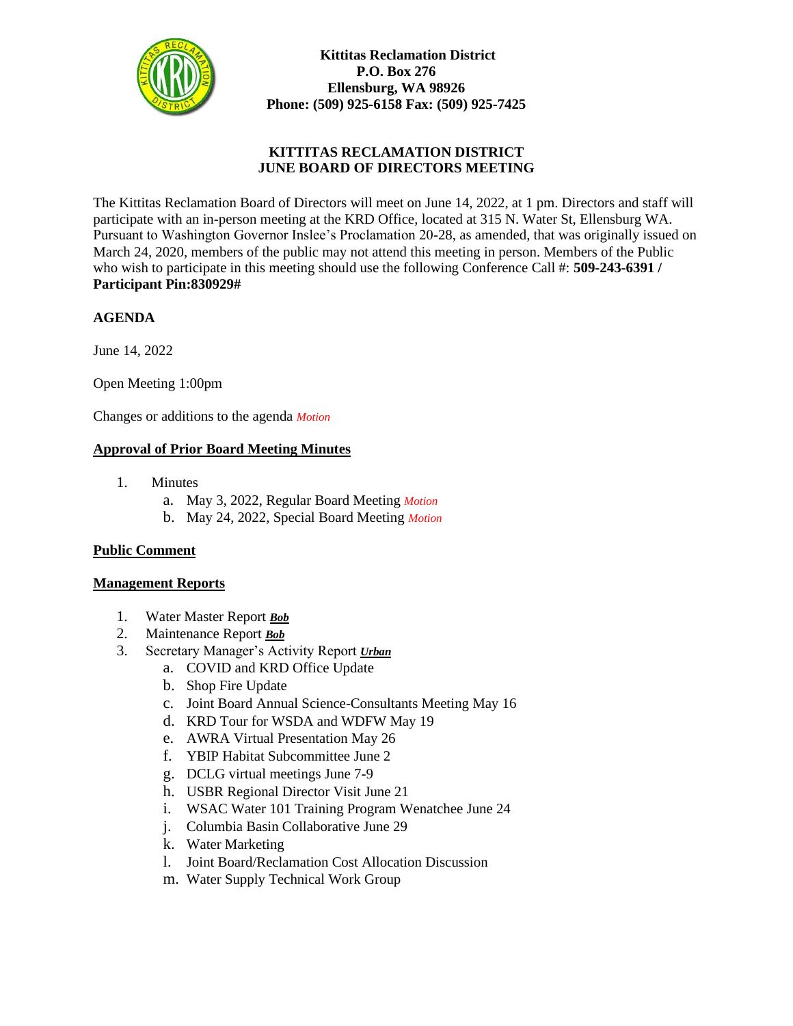

**Kittitas Reclamation District P.O. Box 276 Ellensburg, WA 98926 Phone: (509) 925-6158 Fax: (509) 925-7425**

# **KITTITAS RECLAMATION DISTRICT JUNE BOARD OF DIRECTORS MEETING**

The Kittitas Reclamation Board of Directors will meet on June 14, 2022, at 1 pm. Directors and staff will participate with an in-person meeting at the KRD Office, located at 315 N. Water St, Ellensburg WA. Pursuant to Washington Governor Inslee's Proclamation 20-28, as amended, that was originally issued on March 24, 2020, members of the public may not attend this meeting in person. Members of the Public who wish to participate in this meeting should use the following Conference Call #: **509-243-6391 / Participant Pin:830929#** 

## **AGENDA**

June 14, 2022

Open Meeting 1:00pm

Changes or additions to the agenda *Motion*

### **Approval of Prior Board Meeting Minutes**

- 1. Minutes
	- a. May 3, 2022, Regular Board Meeting *Motion*
	- b. May 24, 2022, Special Board Meeting *Motion*

### **Public Comment**

### **Management Reports**

- 1. Water Master Report *Bob*
- 2. Maintenance Report *Bob*
- 3. Secretary Manager's Activity Report *Urban* 
	- a. COVID and KRD Office Update
	- b. Shop Fire Update
	- c. Joint Board Annual Science-Consultants Meeting May 16
	- d. KRD Tour for WSDA and WDFW May 19
	- e. AWRA Virtual Presentation May 26
	- f. YBIP Habitat Subcommittee June 2
	- g. DCLG virtual meetings June 7-9
	- h. USBR Regional Director Visit June 21
	- i. WSAC Water 101 Training Program Wenatchee June 24
	- j. Columbia Basin Collaborative June 29
	- k. Water Marketing
	- l. Joint Board/Reclamation Cost Allocation Discussion
	- m. Water Supply Technical Work Group